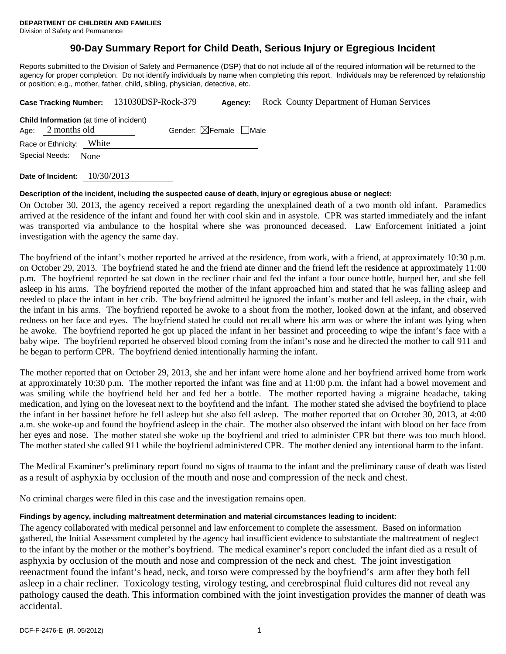Division of Safety and Permanence

# **90-Day Summary Report for Child Death, Serious Injury or Egregious Incident**

Reports submitted to the Division of Safety and Permanence (DSP) that do not include all of the required information will be returned to the agency for proper completion. Do not identify individuals by name when completing this report. Individuals may be referenced by relationship or position; e.g., mother, father, child, sibling, physician, detective, etc.

| Case Tracking Number: 131030DSP-Rock-379                               |                          |      |  | Agency:                                | Rock County Department of Human Services |
|------------------------------------------------------------------------|--------------------------|------|--|----------------------------------------|------------------------------------------|
| <b>Child Information</b> (at time of incident)<br>2 months old<br>Age: |                          |      |  | Gender: $\boxtimes$ Female $\Box$ Male |                                          |
|                                                                        | Race or Ethnicity: White |      |  |                                        |                                          |
|                                                                        | Special Needs:           | None |  |                                        |                                          |
|                                                                        |                          |      |  |                                        |                                          |

**Date of Incident:** 10/30/2013

# **Description of the incident, including the suspected cause of death, injury or egregious abuse or neglect:**

On October 30, 2013, the agency received a report regarding the unexplained death of a two month old infant. Paramedics arrived at the residence of the infant and found her with cool skin and in asystole. CPR was started immediately and the infant was transported via ambulance to the hospital where she was pronounced deceased. Law Enforcement initiated a joint investigation with the agency the same day.

The boyfriend of the infant's mother reported he arrived at the residence, from work, with a friend, at approximately 10:30 p.m. on October 29, 2013. The boyfriend stated he and the friend ate dinner and the friend left the residence at approximately 11:00 p.m. The boyfriend reported he sat down in the recliner chair and fed the infant a four ounce bottle, burped her, and she fell asleep in his arms. The boyfriend reported the mother of the infant approached him and stated that he was falling asleep and needed to place the infant in her crib. The boyfriend admitted he ignored the infant's mother and fell asleep, in the chair, with the infant in his arms. The boyfriend reported he awoke to a shout from the mother, looked down at the infant, and observed redness on her face and eyes. The boyfriend stated he could not recall where his arm was or where the infant was lying when he awoke. The boyfriend reported he got up placed the infant in her bassinet and proceeding to wipe the infant's face with a baby wipe. The boyfriend reported he observed blood coming from the infant's nose and he directed the mother to call 911 and he began to perform CPR. The boyfriend denied intentionally harming the infant.

The mother reported that on October 29, 2013, she and her infant were home alone and her boyfriend arrived home from work at approximately 10:30 p.m. The mother reported the infant was fine and at 11:00 p.m. the infant had a bowel movement and was smiling while the boyfriend held her and fed her a bottle. The mother reported having a migraine headache, taking medication, and lying on the loveseat next to the boyfriend and the infant. The mother stated she advised the boyfriend to place the infant in her bassinet before he fell asleep but she also fell asleep. The mother reported that on October 30, 2013, at 4:00 a.m. she woke-up and found the boyfriend asleep in the chair. The mother also observed the infant with blood on her face from her eyes and nose. The mother stated she woke up the boyfriend and tried to administer CPR but there was too much blood. The mother stated she called 911 while the boyfriend administered CPR. The mother denied any intentional harm to the infant.

The Medical Examiner's preliminary report found no signs of trauma to the infant and the preliminary cause of death was listed as a result of asphyxia by occlusion of the mouth and nose and compression of the neck and chest.

No criminal charges were filed in this case and the investigation remains open.

# **Findings by agency, including maltreatment determination and material circumstances leading to incident:**

The agency collaborated with medical personnel and law enforcement to complete the assessment. Based on information gathered, the Initial Assessment completed by the agency had insufficient evidence to substantiate the maltreatment of neglect to the infant by the mother or the mother's boyfriend. The medical examiner's report concluded the infant died as a result of asphyxia by occlusion of the mouth and nose and compression of the neck and chest. The joint investigation reenactment found the infant's head, neck, and torso were compressed by the boyfriend's arm after they both fell asleep in a chair recliner. Toxicology testing, virology testing, and cerebrospinal fluid cultures did not reveal any pathology caused the death. This information combined with the joint investigation provides the manner of death was accidental.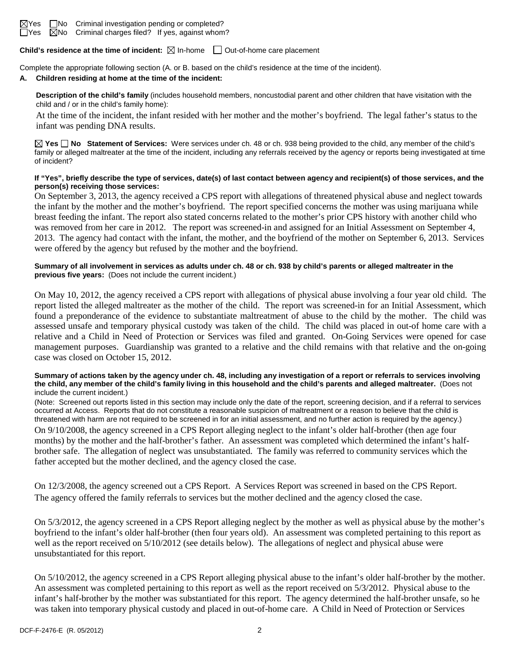

**Child's residence at the time of incident:**  $\boxtimes$  In-home  $\Box$  Out-of-home care placement

Complete the appropriate following section (A. or B. based on the child's residence at the time of the incident).

### **A. Children residing at home at the time of the incident:**

**Description of the child's family** (includes household members, noncustodial parent and other children that have visitation with the child and / or in the child's family home):

At the time of the incident, the infant resided with her mother and the mother's boyfriend. The legal father's status to the infant was pending DNA results.

**Yes No Statement of Services:** Were services under ch. 48 or ch. 938 being provided to the child, any member of the child's family or alleged maltreater at the time of the incident, including any referrals received by the agency or reports being investigated at time of incident?

### **If "Yes", briefly describe the type of services, date(s) of last contact between agency and recipient(s) of those services, and the person(s) receiving those services:**

On September 3, 2013, the agency received a CPS report with allegations of threatened physical abuse and neglect towards the infant by the mother and the mother's boyfriend. The report specified concerns the mother was using marijuana while breast feeding the infant. The report also stated concerns related to the mother's prior CPS history with another child who was removed from her care in 2012. The report was screened-in and assigned for an Initial Assessment on September 4, 2013. The agency had contact with the infant, the mother, and the boyfriend of the mother on September 6, 2013. Services were offered by the agency but refused by the mother and the boyfriend.

### **Summary of all involvement in services as adults under ch. 48 or ch. 938 by child's parents or alleged maltreater in the previous five years:** (Does not include the current incident.)

On May 10, 2012, the agency received a CPS report with allegations of physical abuse involving a four year old child. The report listed the alleged maltreater as the mother of the child. The report was screened-in for an Initial Assessment, which found a preponderance of the evidence to substantiate maltreatment of abuse to the child by the mother. The child was assessed unsafe and temporary physical custody was taken of the child. The child was placed in out-of home care with a relative and a Child in Need of Protection or Services was filed and granted. On-Going Services were opened for case management purposes. Guardianship was granted to a relative and the child remains with that relative and the on-going case was closed on October 15, 2012.

#### **Summary of actions taken by the agency under ch. 48, including any investigation of a report or referrals to services involving the child, any member of the child's family living in this household and the child's parents and alleged maltreater.** (Does not include the current incident.)

(Note: Screened out reports listed in this section may include only the date of the report, screening decision, and if a referral to services occurred at Access. Reports that do not constitute a reasonable suspicion of maltreatment or a reason to believe that the child is threatened with harm are not required to be screened in for an initial assessment, and no further action is required by the agency.)

On 9/10/2008, the agency screened in a CPS Report alleging neglect to the infant's older half-brother (then age four months) by the mother and the half-brother's father. An assessment was completed which determined the infant's halfbrother safe. The allegation of neglect was unsubstantiated. The family was referred to community services which the father accepted but the mother declined, and the agency closed the case.

On 12/3/2008, the agency screened out a CPS Report. A Services Report was screened in based on the CPS Report. The agency offered the family referrals to services but the mother declined and the agency closed the case.

On 5/3/2012, the agency screened in a CPS Report alleging neglect by the mother as well as physical abuse by the mother's boyfriend to the infant's older half-brother (then four years old). An assessment was completed pertaining to this report as well as the report received on  $5/10/2012$  (see details below). The allegations of neglect and physical abuse were unsubstantiated for this report.

On 5/10/2012, the agency screened in a CPS Report alleging physical abuse to the infant's older half-brother by the mother. An assessment was completed pertaining to this report as well as the report received on 5/3/2012. Physical abuse to the infant's half-brother by the mother was substantiated for this report. The agency determined the half-brother unsafe, so he was taken into temporary physical custody and placed in out-of-home care. A Child in Need of Protection or Services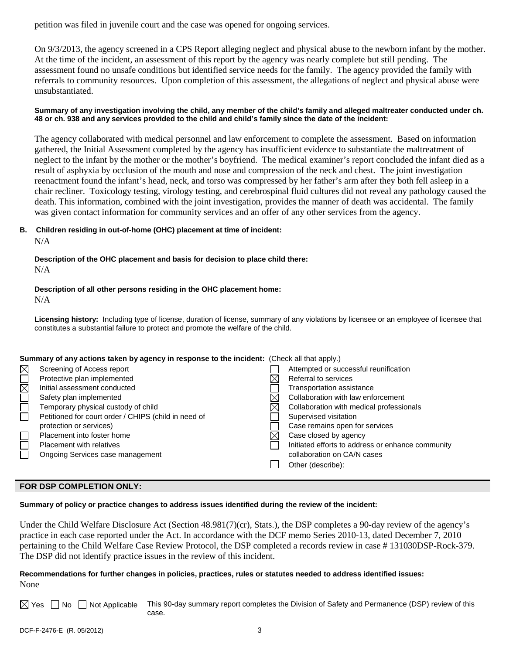petition was filed in juvenile court and the case was opened for ongoing services.

On 9/3/2013, the agency screened in a CPS Report alleging neglect and physical abuse to the newborn infant by the mother. At the time of the incident, an assessment of this report by the agency was nearly complete but still pending. The assessment found no unsafe conditions but identified service needs for the family. The agency provided the family with referrals to community resources. Upon completion of this assessment, the allegations of neglect and physical abuse were unsubstantiated.

### **Summary of any investigation involving the child, any member of the child's family and alleged maltreater conducted under ch. 48 or ch. 938 and any services provided to the child and child's family since the date of the incident:**

The agency collaborated with medical personnel and law enforcement to complete the assessment. Based on information gathered, the Initial Assessment completed by the agency has insufficient evidence to substantiate the maltreatment of neglect to the infant by the mother or the mother's boyfriend. The medical examiner's report concluded the infant died as a result of asphyxia by occlusion of the mouth and nose and compression of the neck and chest. The joint investigation reenactment found the infant's head, neck, and torso was compressed by her father's arm after they both fell asleep in a chair recliner. Toxicology testing, virology testing, and cerebrospinal fluid cultures did not reveal any pathology caused the death. This information, combined with the joint investigation, provides the manner of death was accidental. The family was given contact information for community services and an offer of any other services from the agency.

# **B. Children residing in out-of-home (OHC) placement at time of incident:**

N/A

**Description of the OHC placement and basis for decision to place child there:** N/A

# **Description of all other persons residing in the OHC placement home:**

N/A

**Licensing history:** Including type of license, duration of license, summary of any violations by licensee or an employee of licensee that constitutes a substantial failure to protect and promote the welfare of the child.

|                       | Summary of any actions taken by agency in response to the incident: (Check all that apply.) |  |                                                   |  |
|-----------------------|---------------------------------------------------------------------------------------------|--|---------------------------------------------------|--|
| $\boxtimes$           | Screening of Access report                                                                  |  | Attempted or successful reunification             |  |
|                       | Protective plan implemented                                                                 |  | Referral to services                              |  |
|                       | Initial assessment conducted                                                                |  | Transportation assistance                         |  |
| $\Box \boxtimes \Box$ | Safety plan implemented                                                                     |  | Collaboration with law enforcement                |  |
|                       | Temporary physical custody of child                                                         |  | Collaboration with medical professionals          |  |
|                       | Petitioned for court order / CHIPS (child in need of                                        |  | Supervised visitation                             |  |
|                       | protection or services)                                                                     |  | Case remains open for services                    |  |
|                       | Placement into foster home                                                                  |  | Case closed by agency                             |  |
|                       | <b>Placement with relatives</b>                                                             |  | Initiated efforts to address or enhance community |  |
|                       | Ongoing Services case management                                                            |  | collaboration on CA/N cases                       |  |
|                       |                                                                                             |  | Other (describe):                                 |  |

### **FOR DSP COMPLETION ONLY:**

**Summary of policy or practice changes to address issues identified during the review of the incident:**

Under the Child Welfare Disclosure Act (Section 48.981(7)(cr), Stats.), the DSP completes a 90-day review of the agency's practice in each case reported under the Act. In accordance with the DCF memo Series 2010-13, dated December 7, 2010 pertaining to the Child Welfare Case Review Protocol, the DSP completed a records review in case # 131030DSP-Rock-379. The DSP did not identify practice issues in the review of this incident.

# **Recommendations for further changes in policies, practices, rules or statutes needed to address identified issues:** None

 $\boxtimes$  Yes  $\Box$  No  $\Box$  Not Applicable This 90-day summary report completes the Division of Safety and Permanence (DSP) review of this case.